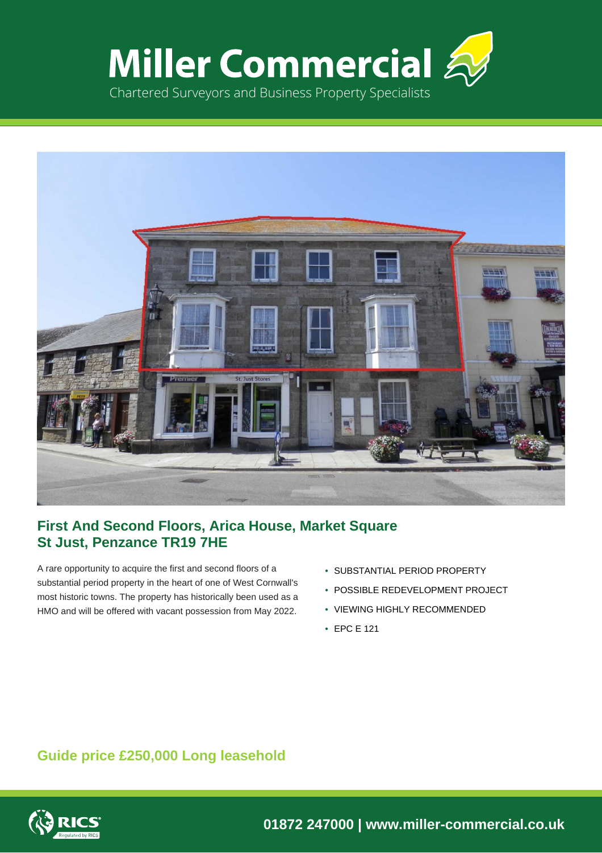



# **First And Second Floors, Arica House, Market Square St Just, Penzance TR19 7HE**

A rare opportunity to acquire the first and second floors of a substantial period property in the heart of one of West Cornwall's most historic towns. The property has historically been used as a HMO and will be offered with vacant possession from May 2022.

- SUBSTANTIAL PERIOD PROPERTY
- POSSIBLE REDEVELOPMENT PROJECT
- VIEWING HIGHLY RECOMMENDED
- EPC E 121

# **Guide price £250,000 Long leasehold**



**01872 247000 | www.miller-commercial.co.uk**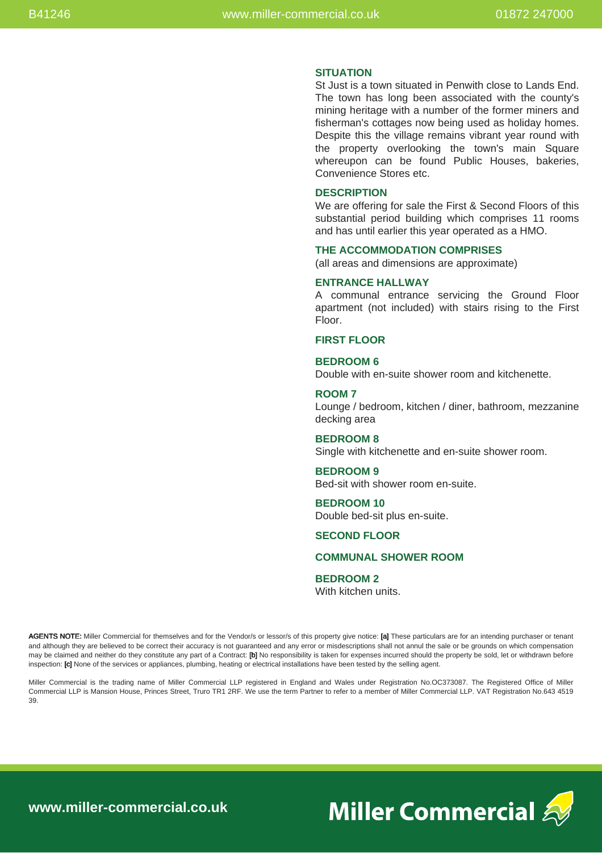#### **SITUATION**

St Just is a town situated in Penwith close to Lands End. The town has long been associated with the county's mining heritage with a number of the former miners and fisherman's cottages now being used as holiday homes. Despite this the village remains vibrant year round with the property overlooking the town's main Square whereupon can be found Public Houses, bakeries, Convenience Stores etc.

### **DESCRIPTION**

We are offering for sale the First & Second Floors of this substantial period building which comprises 11 rooms and has until earlier this year operated as a HMO.

#### **THE ACCOMMODATION COMPRISES**

(all areas and dimensions are approximate)

# **ENTRANCE HALLWAY**

A communal entrance servicing the Ground Floor apartment (not included) with stairs rising to the First Floor.

#### **FIRST FLOOR**

# **BEDROOM 6**

Double with en-suite shower room and kitchenette.

# **ROOM 7**

Lounge / bedroom, kitchen / diner, bathroom, mezzanine decking area

#### **BEDROOM 8**

Single with kitchenette and en-suite shower room.

# **BEDROOM 9**

Bed-sit with shower room en-suite.

#### **BEDROOM 10** Double bed-sit plus en-suite.

#### **SECOND FLOOR**

## **COMMUNAL SHOWER ROOM**

#### **BEDROOM 2**

With kitchen units.

AGENTS NOTE: Miller Commercial for themselves and for the Vendor/s or lessor/s of this property give notice: [a] These particulars are for an intending purchaser or tenant and although they are believed to be correct their accuracy is not guaranteed and any error or misdescriptions shall not annul the sale or be grounds on which compensation may be claimed and neither do they constitute any part of a Contract: [b] No responsibility is taken for expenses incurred should the property be sold, let or withdrawn before inspection: [c] None of the services or appliances, plumbing, heating or electrical installations have been tested by the selling agent.

Miller Commercial is the trading name of Miller Commercial LLP registered in England and Wales under Registration No.OC373087. The Registered Office of Miller Commercial LLP is Mansion House, Princes Street, Truro TR1 2RF. We use the term Partner to refer to a member of Miller Commercial LLP. VAT Registration No.643 4519 39.



**www.miller-commercial.co.uk**